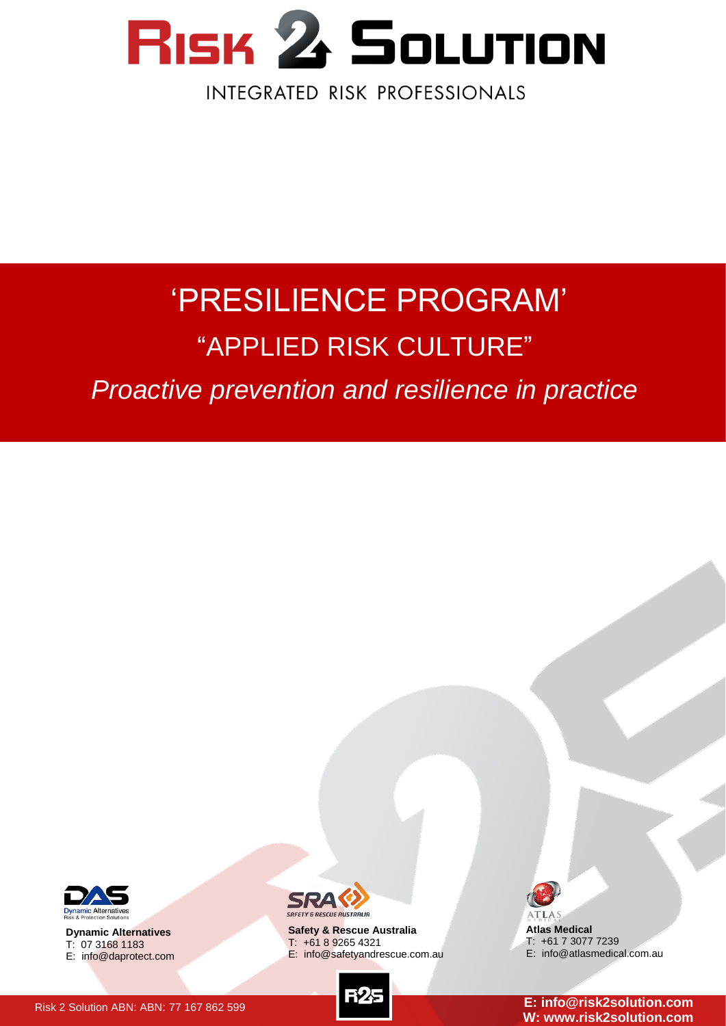

# 'PRESILIENCE PROGRAM' "APPLIED RISK CULTURE"

*Proactive prevention and resilience in practice*



**Dynamic Alternatives** T: 07 3168 1183 E: info@daprotect.com



**Safety & Rescue Australia** T: +61 8 9265 4321 E: info@safetyandrescue.com.au



**Atlas Medical** T: +61 7 3077 7239 E: info@atlasmedical.com.au

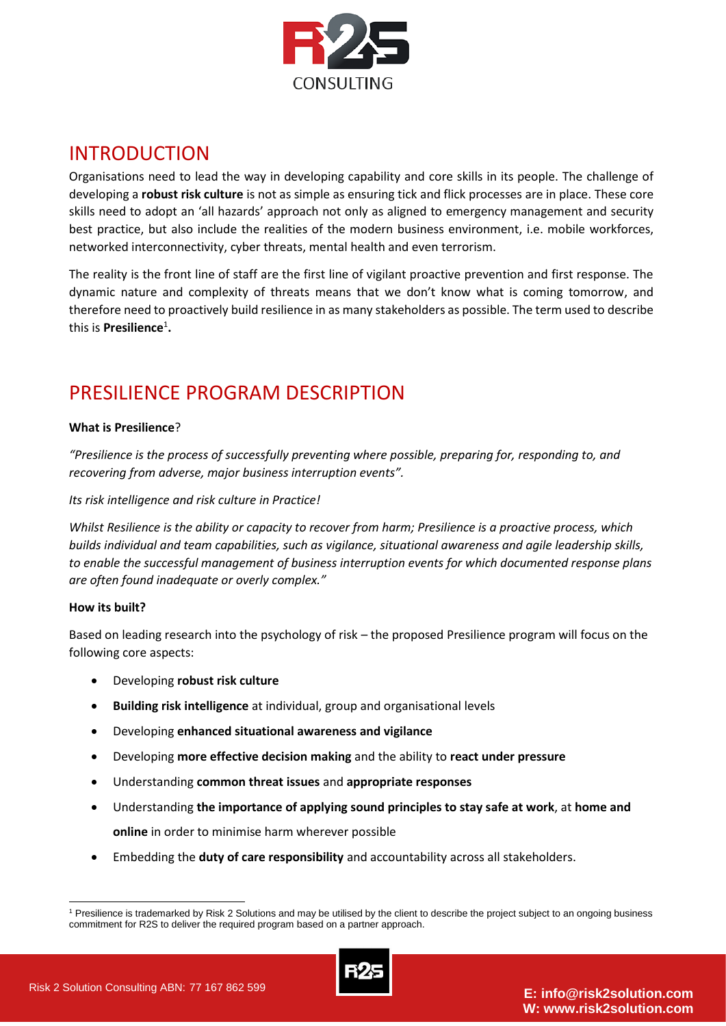

## INTRODUCTION

Organisations need to lead the way in developing capability and core skills in its people. The challenge of developing a **robust risk culture** is not as simple as ensuring tick and flick processes are in place. These core skills need to adopt an 'all hazards' approach not only as aligned to emergency management and security best practice, but also include the realities of the modern business environment, i.e. mobile workforces, networked interconnectivity, cyber threats, mental health and even terrorism.

The reality is the front line of staff are the first line of vigilant proactive prevention and first response. The dynamic nature and complexity of threats means that we don't know what is coming tomorrow, and therefore need to proactively build resilience in as many stakeholders as possible. The term used to describe this is **Presilience**<sup>1</sup> **.**

## PRESILIENCE PROGRAM DESCRIPTION

#### **What is Presilience**?

*"Presilience is the process of successfully preventing where possible, preparing for, responding to, and recovering from adverse, major business interruption events".*

#### *Its risk intelligence and risk culture in Practice!*

*Whilst Resilience is the ability or capacity to recover from harm; Presilience is a proactive process, which builds individual and team capabilities, such as vigilance, situational awareness and agile leadership skills, to enable the successful management of business interruption events for which documented response plans are often found inadequate or overly complex."*

#### **How its built?**

Based on leading research into the psychology of risk – the proposed Presilience program will focus on the following core aspects:

- Developing **robust risk culture**
- **Building risk intelligence** at individual, group and organisational levels
- Developing **enhanced situational awareness and vigilance**
- Developing **more effective decision making** and the ability to **react under pressure**
- Understanding **common threat issues** and **appropriate responses**
- Understanding **the importance of applying sound principles to stay safe at work**, at **home and online** in order to minimise harm wherever possible
- Embedding the **duty of care responsibility** and accountability across all stakeholders.

<sup>&</sup>lt;sup>1</sup> Presilience is trademarked by Risk 2 Solutions and may be utilised by the client to describe the project subject to an ongoing business commitment for R2S to deliver the required program based on a partner approach.



-